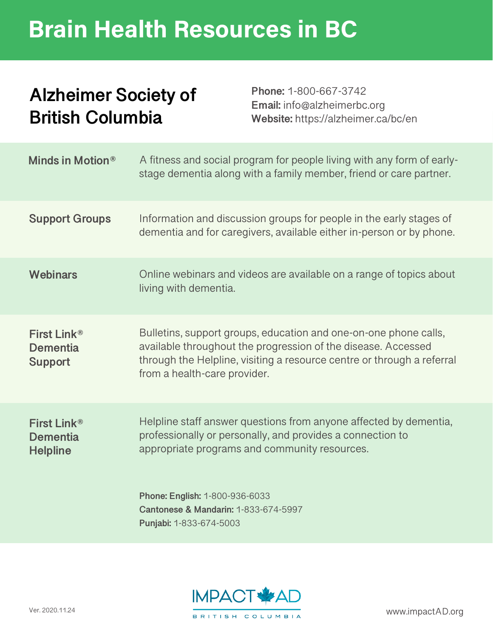## Brain Health Resources in BC

#### **Alzheimer Society of British Columbia**

**Phone:** 1-800-667-3742 **Email:** info@alzheimerbc.org **Website:** https://alzheimer.ca/bc/en

| <b>Minds in Motion®</b>                                       | A fitness and social program for people living with any form of early-<br>stage dementia along with a family member, friend or care partner.                                                                                                |
|---------------------------------------------------------------|---------------------------------------------------------------------------------------------------------------------------------------------------------------------------------------------------------------------------------------------|
| <b>Support Groups</b>                                         | Information and discussion groups for people in the early stages of<br>dementia and for caregivers, available either in-person or by phone.                                                                                                 |
| <b>Webinars</b>                                               | Online webinars and videos are available on a range of topics about<br>living with dementia.                                                                                                                                                |
| First Link®<br>Dementia<br><b>Support</b>                     | Bulletins, support groups, education and one-on-one phone calls,<br>available throughout the progression of the disease. Accessed<br>through the Helpline, visiting a resource centre or through a referral<br>from a health-care provider. |
| First Link <sup>®</sup><br><b>Dementia</b><br><b>Helpline</b> | Helpline staff answer questions from anyone affected by dementia,<br>professionally or personally, and provides a connection to<br>appropriate programs and community resources.                                                            |
|                                                               | Phone: English: 1-800-936-6033<br>Cantonese & Mandarin: 1-833-674-5997<br>Punjabi: 1-833-674-5003                                                                                                                                           |

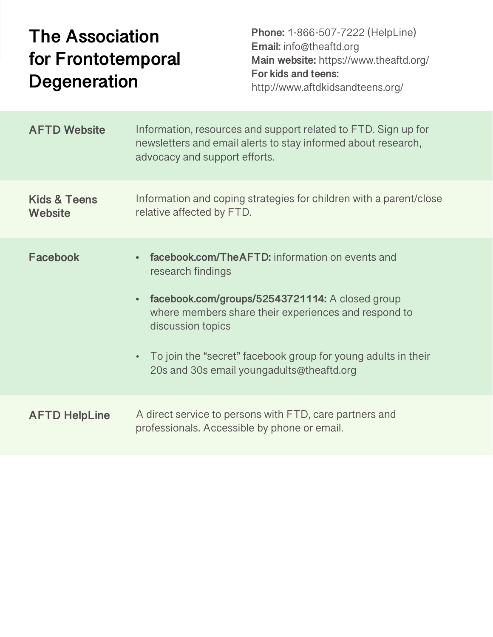### **The Association for Frontotemporal Degeneration**

**Phone:** 1-866-507-7222 (HelpLine) **Email:** info@theaftd.org **Main website:** https://www.theaftd.org/ **For kids and teens:** http://www.aftdkidsandteens.org/

| <b>AFTD Website</b>                | Information, resources and support related to FTD. Sign up for<br>newsletters and email alerts to stay informed about research,<br>advocacy and support efforts.                                                                                                                                                                               |
|------------------------------------|------------------------------------------------------------------------------------------------------------------------------------------------------------------------------------------------------------------------------------------------------------------------------------------------------------------------------------------------|
| <b>Kids &amp; Teens</b><br>Website | Information and coping strategies for children with a parent/close<br>relative affected by FTD.                                                                                                                                                                                                                                                |
| <b>Facebook</b>                    | facebook.com/TheAFTD: information on events and<br>research findings<br>facebook.com/groups/52543721114: A closed group<br>$\bullet$<br>where members share their experiences and respond to<br>discussion topics<br>To join the "secret" facebook group for young adults in their<br>$\bullet$ .<br>20s and 30s email youngadults@theaftd.org |
| <b>AFTD HelpLine</b>               | A direct service to persons with FTD, care partners and<br>professionals. Accessible by phone or email.                                                                                                                                                                                                                                        |